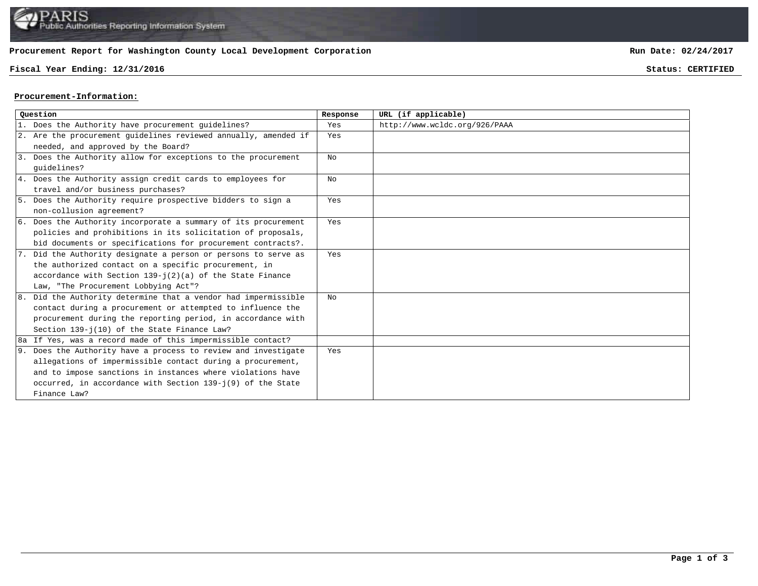## **Procurement Report for Washington County Local Development Corporation**

## **Fiscal Year Ending: 12/31/2016 Status: CERTIFIED**

**Run Date: 02/24/2017**

## **Procurement-Information:**

| Ouestion |                                                                 | Response | URL (if applicable)           |
|----------|-----------------------------------------------------------------|----------|-------------------------------|
|          | 1. Does the Authority have procurement guidelines?              | Yes      | http://www.wcldc.org/926/PAAA |
|          | 2. Are the procurement guidelines reviewed annually, amended if | Yes      |                               |
|          | needed, and approved by the Board?                              |          |                               |
|          | 3. Does the Authority allow for exceptions to the procurement   | No       |                               |
|          | quidelines?                                                     |          |                               |
|          | 4. Does the Authority assign credit cards to employees for      | No       |                               |
|          | travel and/or business purchases?                               |          |                               |
|          | 5. Does the Authority require prospective bidders to sign a     | Yes      |                               |
|          | non-collusion agreement?                                        |          |                               |
|          | 6. Does the Authority incorporate a summary of its procurement  | Yes      |                               |
|          | policies and prohibitions in its solicitation of proposals,     |          |                               |
|          | bid documents or specifications for procurement contracts?.     |          |                               |
|          | 7. Did the Authority designate a person or persons to serve as  | Yes      |                               |
|          | the authorized contact on a specific procurement, in            |          |                               |
|          | accordance with Section $139 - i(2)(a)$ of the State Finance    |          |                               |
|          | Law, "The Procurement Lobbying Act"?                            |          |                               |
|          | 8. Did the Authority determine that a vendor had impermissible  | No       |                               |
|          | contact during a procurement or attempted to influence the      |          |                               |
|          | procurement during the reporting period, in accordance with     |          |                               |
|          | Section 139-j(10) of the State Finance Law?                     |          |                               |
|          | 8a If Yes, was a record made of this impermissible contact?     |          |                               |
|          | 9. Does the Authority have a process to review and investigate  | Yes      |                               |
|          | allegations of impermissible contact during a procurement,      |          |                               |
|          | and to impose sanctions in instances where violations have      |          |                               |
|          | occurred, in accordance with Section 139-j(9) of the State      |          |                               |
|          | Finance Law?                                                    |          |                               |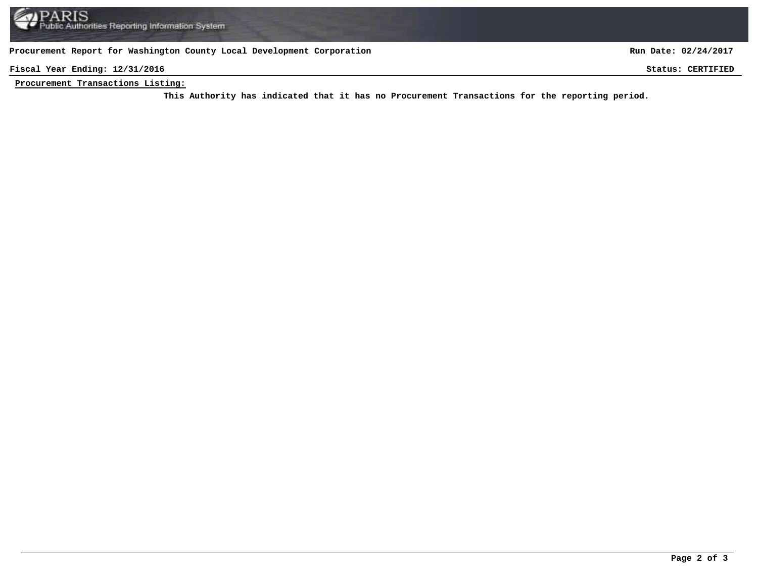**Procurement Report for Washington County Local Development Corporation**

**Run Date: 02/24/2017**

**Fiscal Year Ending: 12/31/2016 Status: CERTIFIED**

**Procurement Transactions Listing:**

This Authority has indicated that it has no Procurement Transactions for the reporting period.